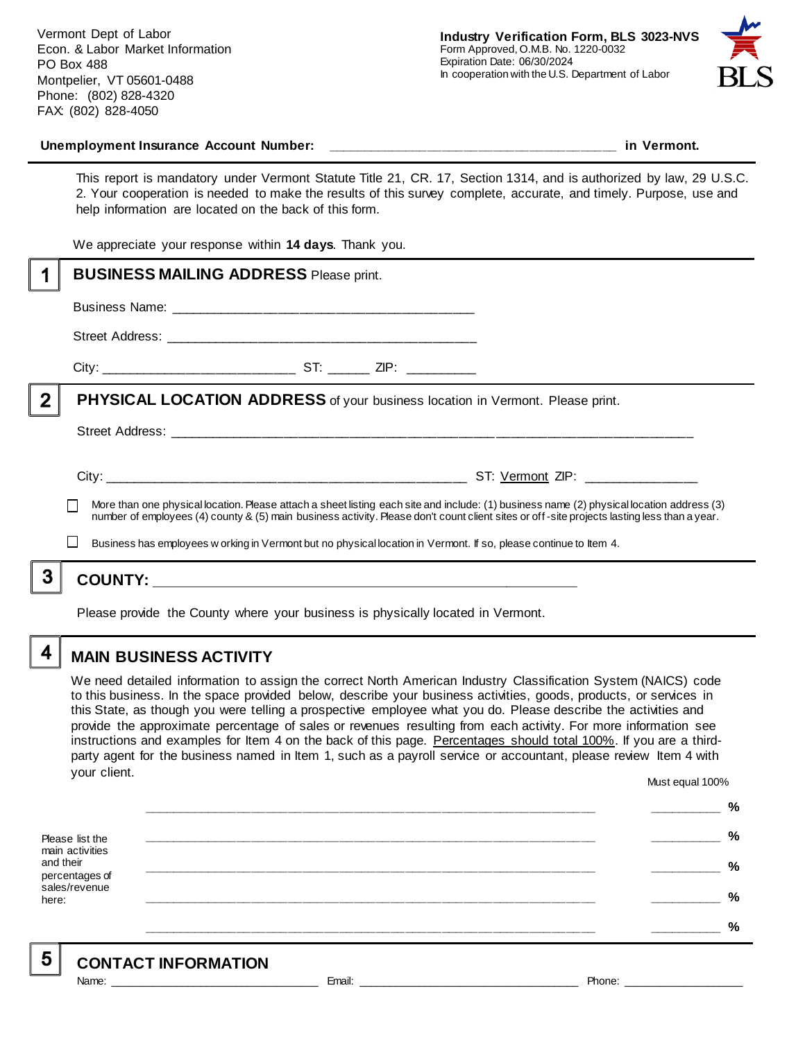Vermont Dept of Labor Econ. & Labor Market Information PO Box 488 Montpelier, VT 05601-0488 Phone: (802) 828-4320 FAX: (802) 828-4050



#### Unemployment Insurance Account Number: **with a set of the set of the set of the set of the set of the set of the set of the set of the set of the set of the set of the set of the set of the set of the set of the set of the**

This report is mandatory under Vermont Statute Title 21, CR. 17, Section 1314, and is authorized by law, 29 U.S.C. 2. Your cooperation is needed to make the results of this survey complete, accurate, and timely. Purpose, use and help information are located on the back of this form.

We appreciate your response within **14 days**. Thank you.

|                                                                                                                                                                                                                                                                                          | <b>BUSINESS MAILING ADDRESS Please print.</b>                                                                     |  |
|------------------------------------------------------------------------------------------------------------------------------------------------------------------------------------------------------------------------------------------------------------------------------------------|-------------------------------------------------------------------------------------------------------------------|--|
|                                                                                                                                                                                                                                                                                          |                                                                                                                   |  |
|                                                                                                                                                                                                                                                                                          |                                                                                                                   |  |
|                                                                                                                                                                                                                                                                                          |                                                                                                                   |  |
| $\overline{2}$                                                                                                                                                                                                                                                                           | <b>PHYSICAL LOCATION ADDRESS</b> of your business location in Vermont. Please print.                              |  |
|                                                                                                                                                                                                                                                                                          |                                                                                                                   |  |
|                                                                                                                                                                                                                                                                                          |                                                                                                                   |  |
| More than one physical location. Please attach a sheet listing each site and include: (1) business name (2) physical location address (3)<br>number of employees (4) county & (5) main business activity. Please don't count client sites or off-site projects lasting less than a year. |                                                                                                                   |  |
|                                                                                                                                                                                                                                                                                          | Business has employees w orking in Vermont but no physical location in Vermont. If so, please continue to Item 4. |  |
| 3                                                                                                                                                                                                                                                                                        |                                                                                                                   |  |
| Please provide the County where your business is physically located in Vermont.                                                                                                                                                                                                          |                                                                                                                   |  |

### **MAIN BUSINESS ACTIVITY**

We need detailed information to assign the correct North American Industry Classification System (NAICS) code to this business. In the space provided below, describe your business activities, goods, products, or services in this State, as though you were telling a prospective employee what you do. Please describe the activities and provide the approximate percentage of sales or revenues resulting from each activity. For more information see instructions and examples for Item 4 on the back of this page. Percentages should total 100%. If you are a thirdparty agent for the business named in Item 1, such as a payroll service or accountant, please review Item 4 with your client. Must equal 100%

Please list the main activities and their percentages of sales/revenue here: **\_\_\_\_\_\_\_\_\_\_\_\_\_\_\_\_\_\_\_\_\_\_\_\_\_\_\_\_\_\_\_\_\_\_\_\_\_\_\_\_\_\_\_\_\_\_\_\_\_\_\_\_\_\_\_\_\_\_\_\_\_\_ \_\_\_\_\_\_\_\_\_\_ % \_\_\_\_\_\_\_\_\_\_\_\_\_\_\_\_\_\_\_\_\_\_\_\_\_\_\_\_\_\_\_\_\_\_\_\_\_\_\_\_\_\_\_\_\_\_\_\_\_\_\_\_\_\_\_\_\_\_\_\_\_\_ \_\_\_\_\_\_\_\_\_\_ % \_\_\_\_\_\_\_\_\_\_\_\_\_\_\_\_\_\_\_\_\_\_\_\_\_\_\_\_\_\_\_\_\_\_\_\_\_\_\_\_\_\_\_\_\_\_\_\_\_\_\_\_\_\_\_\_\_\_\_\_\_\_ \_\_\_\_\_\_\_\_\_\_ % \_\_\_\_\_\_\_\_\_\_\_\_\_\_\_\_\_\_\_\_\_\_\_\_\_\_\_\_\_\_\_\_\_\_\_\_\_\_\_\_\_\_\_\_\_\_\_\_\_\_\_\_\_\_\_\_\_\_\_\_\_\_ \_\_\_\_\_\_\_\_\_\_ % \_\_\_\_\_\_\_\_\_\_\_\_\_\_\_\_\_\_\_\_\_\_\_\_\_\_\_\_\_\_\_\_\_\_\_\_\_\_\_\_\_\_\_\_\_\_\_\_\_\_\_\_\_\_\_\_\_\_\_\_\_\_ \_\_\_\_\_\_\_\_\_\_ %**

5

4